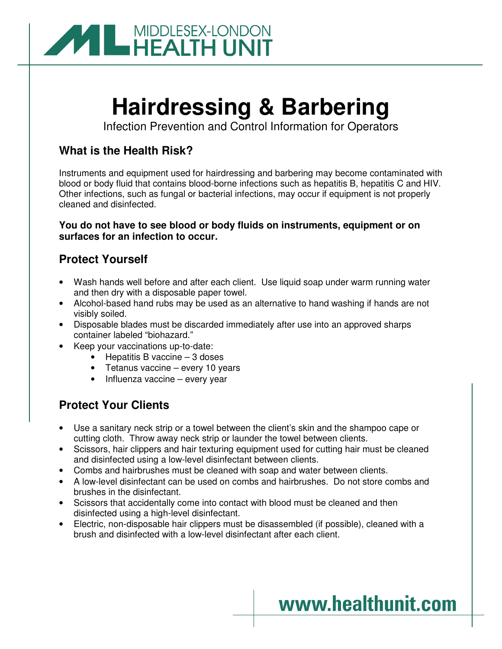

# **Hairdressing & Barbering**

Infection Prevention and Control Information for Operators

### **What is the Health Risk?**

Instruments and equipment used for hairdressing and barbering may become contaminated with blood or body fluid that contains blood-borne infections such as hepatitis B, hepatitis C and HIV. Other infections, such as fungal or bacterial infections, may occur if equipment is not properly cleaned and disinfected.

#### **You do not have to see blood or body fluids on instruments, equipment or on surfaces for an infection to occur.**

## **Protect Yourself**

- Wash hands well before and after each client. Use liquid soap under warm running water and then dry with a disposable paper towel.
- Alcohol-based hand rubs may be used as an alternative to hand washing if hands are not visibly soiled.
- Disposable blades must be discarded immediately after use into an approved sharps container labeled "biohazard."
- Keep your vaccinations up-to-date:
	- Hepatitis B vaccine 3 doses
	- Tetanus vaccine every 10 years
	- Influenza vaccine every year

## **Protect Your Clients**

- Use a sanitary neck strip or a towel between the client's skin and the shampoo cape or cutting cloth. Throw away neck strip or launder the towel between clients.
- Scissors, hair clippers and hair texturing equipment used for cutting hair must be cleaned and disinfected using a low-level disinfectant between clients.
- Combs and hairbrushes must be cleaned with soap and water between clients.
- A low-level disinfectant can be used on combs and hairbrushes. Do not store combs and brushes in the disinfectant.
- Scissors that accidentally come into contact with blood must be cleaned and then disinfected using a high-level disinfectant.
- Electric, non-disposable hair clippers must be disassembled (if possible), cleaned with a brush and disinfected with a low-level disinfectant after each client.

## www.healthunit.com